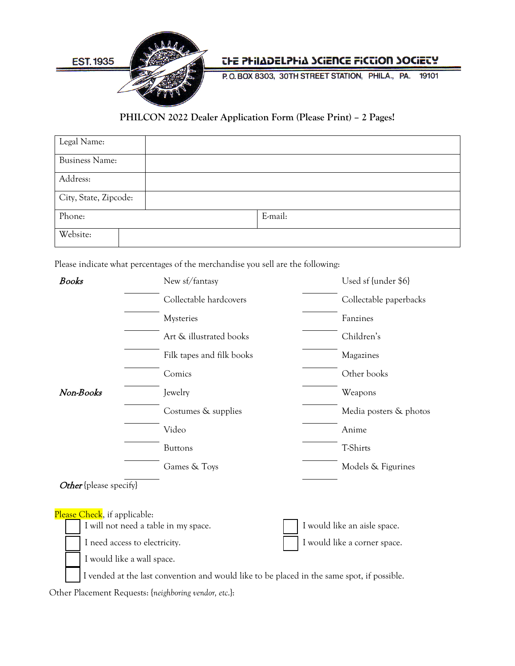

## *CHE PHILADELPHIA SCIENCE FICCION SOCIETY*

P.O.BOX 8303, 30TH STREET STATION, PHILA., PA. 19101

## **PHILCON 2022 Dealer Application Form (Please Print) – 2 Pages!**

| Legal Name:           |         |
|-----------------------|---------|
| <b>Business Name:</b> |         |
| Address:              |         |
| City, State, Zipcode: |         |
| Phone:                | E-mail: |
| Website:              |         |

Please indicate what percentages of the merchandise you sell are the following:

| <b>Books</b>                  | New sf/fantasy                                                                             | Used sf {under \$6}          |
|-------------------------------|--------------------------------------------------------------------------------------------|------------------------------|
|                               | Collectable hardcovers                                                                     | Collectable paperbacks       |
|                               | Mysteries                                                                                  | Fanzines                     |
|                               | Art & illustrated books                                                                    | Children's                   |
|                               | Filk tapes and filk books                                                                  | Magazines                    |
|                               | Comics                                                                                     | Other books                  |
| Non-Books                     | Jewelry                                                                                    | Weapons                      |
|                               | Costumes & supplies                                                                        | Media posters & photos       |
|                               | Video                                                                                      | Anime                        |
|                               | <b>Buttons</b>                                                                             | <b>T-Shirts</b>              |
|                               | Games & Toys                                                                               | Models & Figurines           |
| <b>Other</b> {please specify} |                                                                                            |                              |
| Please Check, if applicable:  |                                                                                            |                              |
|                               | I will not need a table in my space.                                                       | I would like an aisle space. |
|                               | I need access to electricity.                                                              | I would like a corner space. |
|                               | I would like a wall space.                                                                 |                              |
|                               | I vended at the last convention and would like to be placed in the same spot, if possible. |                              |
|                               |                                                                                            |                              |

Other Placement Requests: {*neighboring vendor, etc*.}: